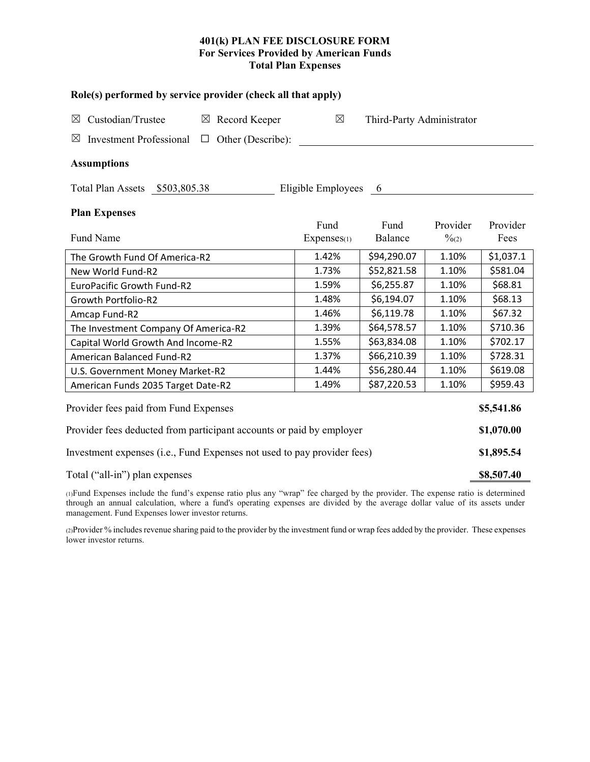# **401(k) PLAN FEE DISCLOSURE FORM For Services Provided by American Funds Total Plan Expenses**

| Role(s) performed by service provider (check all that apply)                 |                     |                           |                               |                  |  |  |  |  |  |
|------------------------------------------------------------------------------|---------------------|---------------------------|-------------------------------|------------------|--|--|--|--|--|
| Custodian/Trustee<br>$\boxtimes$ Record Keeper<br>⊠                          | $\boxtimes$         | Third-Party Administrator |                               |                  |  |  |  |  |  |
| Other (Describe):<br><b>Investment Professional</b><br>$\boxtimes$<br>$\Box$ |                     |                           |                               |                  |  |  |  |  |  |
| <b>Assumptions</b>                                                           |                     |                           |                               |                  |  |  |  |  |  |
| Total Plan Assets \$503,805.38                                               | Eligible Employees  | $6\overline{6}$           |                               |                  |  |  |  |  |  |
| <b>Plan Expenses</b>                                                         |                     |                           |                               |                  |  |  |  |  |  |
| Fund Name                                                                    | Fund<br>Expenses(1) | Fund<br>Balance           | Provider<br>$\frac{0}{2}$ (2) | Provider<br>Fees |  |  |  |  |  |
| The Growth Fund Of America-R2                                                | 1.42%               | \$94,290.07               | 1.10%                         | \$1,037.1        |  |  |  |  |  |
| New World Fund-R2                                                            | 1.73%               | \$52,821.58               | 1.10%                         | \$581.04         |  |  |  |  |  |
| <b>EuroPacific Growth Fund-R2</b>                                            | 1.59%               | \$6,255.87                | 1.10%                         | \$68.81          |  |  |  |  |  |
| Growth Portfolio-R2                                                          | 1.48%               | \$6,194.07                | 1.10%                         | \$68.13          |  |  |  |  |  |
| Amcap Fund-R2                                                                | 1.46%               | \$6,119.78                | 1.10%                         | \$67.32          |  |  |  |  |  |
| The Investment Company Of America-R2                                         | 1.39%               | \$64,578.57               | 1.10%                         | \$710.36         |  |  |  |  |  |
| Capital World Growth And Income-R2                                           | 1.55%               | \$63,834.08               | 1.10%                         | \$702.17         |  |  |  |  |  |
| American Balanced Fund-R2                                                    | 1.37%               | \$66,210.39               | 1.10%                         | \$728.31         |  |  |  |  |  |
| U.S. Government Money Market-R2                                              | 1.44%               | \$56,280.44               | 1.10%                         | \$619.08         |  |  |  |  |  |
| American Funds 2035 Target Date-R2                                           | 1.49%               | \$87,220.53               | 1.10%                         | \$959.43         |  |  |  |  |  |
| Provider fees paid from Fund Expenses                                        |                     |                           |                               | \$5,541.86       |  |  |  |  |  |
| Provider fees deducted from participant accounts or paid by employer         |                     |                           |                               |                  |  |  |  |  |  |
| Investment expenses (i.e., Fund Expenses not used to pay provider fees)      |                     |                           |                               |                  |  |  |  |  |  |
| Total ("all-in") plan expenses                                               |                     |                           |                               |                  |  |  |  |  |  |

(1)Fund Expenses include the fund's expense ratio plus any "wrap" fee charged by the provider. The expense ratio is determined through an annual calculation, where a fund's operating expenses are divided by the average dollar value of its assets under management. Fund Expenses lower investor returns.

(2)Provider % includes revenue sharing paid to the provider by the investment fund or wrap fees added by the provider. These expenses lower investor returns.